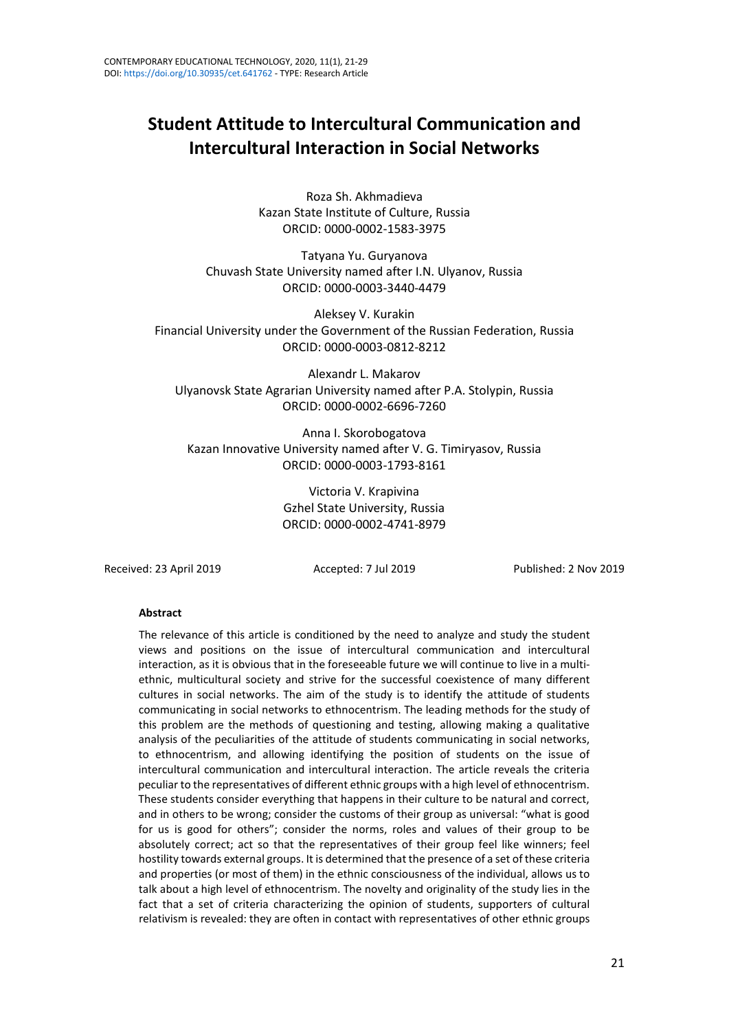# **Student Attitude to Intercultural Communication and Intercultural Interaction in Social Networks**

Roza Sh. Akhmadieva Kazan State Institute of Culture, Russia ORCID: 0000-0002-1583-3975

Tatyana Yu. Guryanova Chuvash State University named after I.N. Ulyanov, Russia ORCID: 0000-0003-3440-4479

Aleksey V. Kurakin Financial University under the Government of the Russian Federation, Russia ORCID: 0000-0003-0812-8212

Alexandr L. Makarov Ulyanovsk State Agrarian University named after P.A. Stolypin, Russia ORCID: 0000-0002-6696-7260

Anna I. Skorobogatova Kazan Innovative University named after V. G. Timiryasov, Russia ORCID: 0000-0003-1793-8161

> Victoria V. Krapivina Gzhel State University, Russia ORCID: 0000-0002-4741-8979

Received: 23 April 2019 Accepted: 7 Jul 2019 Published: 2 Nov 2019

#### **Abstract**

The relevance of this article is conditioned by the need to analyze and study the student views and positions on the issue of intercultural communication and intercultural interaction, as it is obvious that in the foreseeable future we will continue to live in a multiethnic, multicultural society and strive for the successful coexistence of many different cultures in social networks. The aim of the study is to identify the attitude of students communicating in social networks to ethnocentrism. The leading methods for the study of this problem are the methods of questioning and testing, allowing making a qualitative analysis of the peculiarities of the attitude of students communicating in social networks, to ethnocentrism, and allowing identifying the position of students on the issue of intercultural communication and intercultural interaction. The article reveals the criteria peculiar to the representatives of different ethnic groups with a high level of ethnocentrism. These students consider everything that happens in their culture to be natural and correct, and in others to be wrong; consider the customs of their group as universal: "what is good for us is good for others"; consider the norms, roles and values of their group to be absolutely correct; act so that the representatives of their group feel like winners; feel hostility towards external groups. It is determined that the presence of a set of these criteria and properties (or most of them) in the ethnic consciousness of the individual, allows us to talk about a high level of ethnocentrism. The novelty and originality of the study lies in the fact that a set of criteria characterizing the opinion of students, supporters of cultural relativism is revealed: they are often in contact with representatives of other ethnic groups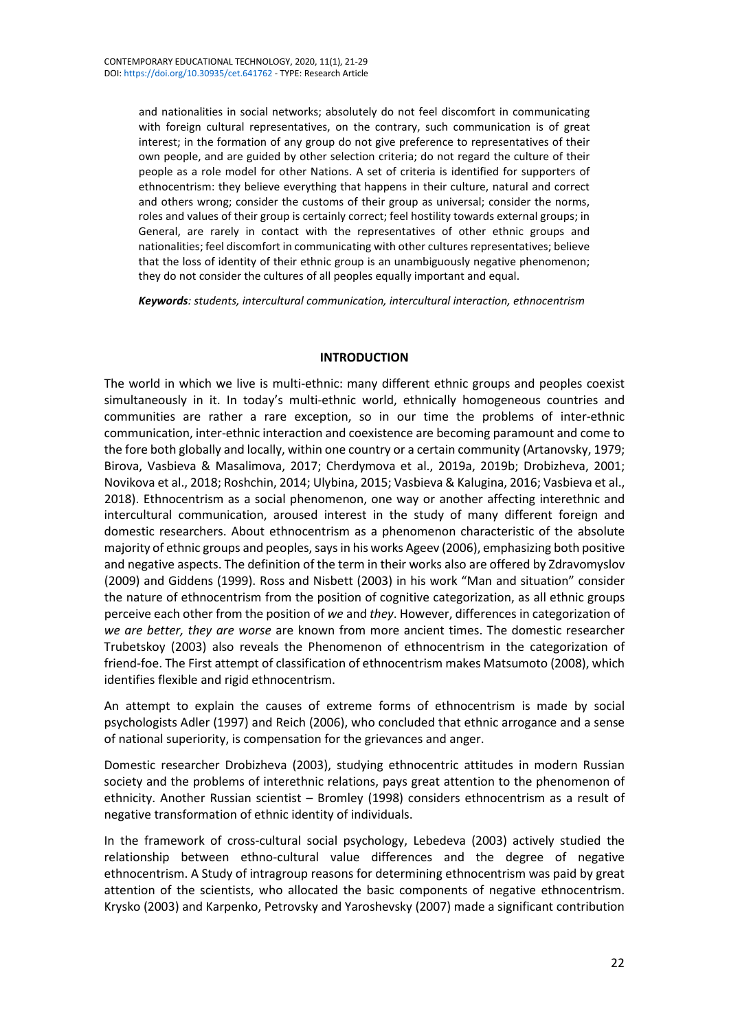and nationalities in social networks; absolutely do not feel discomfort in communicating with foreign cultural representatives, on the contrary, such communication is of great interest; in the formation of any group do not give preference to representatives of their own people, and are guided by other selection criteria; do not regard the culture of their people as a role model for other Nations. A set of criteria is identified for supporters of ethnocentrism: they believe everything that happens in their culture, natural and correct and others wrong; consider the customs of their group as universal; consider the norms, roles and values of their group is certainly correct; feel hostility towards external groups; in General, are rarely in contact with the representatives of other ethnic groups and nationalities; feel discomfort in communicating with other cultures representatives; believe that the loss of identity of their ethnic group is an unambiguously negative phenomenon; they do not consider the cultures of all peoples equally important and equal.

*Keywords: students, intercultural communication, intercultural interaction, ethnocentrism*

### **INTRODUCTION**

The world in which we live is multi-ethnic: many different ethnic groups and peoples coexist simultaneously in it. In today's multi-ethnic world, ethnically homogeneous countries and communities are rather a rare exception, so in our time the problems of inter-ethnic communication, inter-ethnic interaction and coexistence are becoming paramount and come to the fore both globally and locally, within one country or a certain community (Artanovsky, 1979; Birova, Vasbieva & Masalimova, 2017; Cherdymova et al., 2019a, 2019b; Drobizheva, 2001; Novikova et al., 2018; Roshchin, 2014; Ulybina, 2015; Vasbieva & Kalugina, 2016; Vasbieva et al., 2018). Ethnocentrism as a social phenomenon, one way or another affecting interethnic and intercultural communication, aroused interest in the study of many different foreign and domestic researchers. About ethnocentrism as a phenomenon characteristic of the absolute majority of ethnic groups and peoples, says in his works Ageev (2006), emphasizing both positive and negative aspects. The definition of the term in their works also are offered by Zdravomyslov (2009) and Giddens (1999). Ross and Nisbett (2003) in his work "Man and situation" consider the nature of ethnocentrism from the position of cognitive categorization, as all ethnic groups perceive each other from the position of *we* and *they*. However, differences in categorization of *we are better, they are worse* are known from more ancient times. The domestic researcher Trubetskoy (2003) also reveals the Phenomenon of ethnocentrism in the categorization of friend-foe. The First attempt of classification of ethnocentrism makes Matsumoto (2008), which identifies flexible and rigid ethnocentrism.

An attempt to explain the causes of extreme forms of ethnocentrism is made by social psychologists Adler (1997) and Reich (2006), who concluded that ethnic arrogance and a sense of national superiority, is compensation for the grievances and anger.

Domestic researcher Drobizheva (2003), studying ethnocentric attitudes in modern Russian society and the problems of interethnic relations, pays great attention to the phenomenon of ethnicity. Another Russian scientist – Bromley (1998) considers ethnocentrism as a result of negative transformation of ethnic identity of individuals.

In the framework of cross-cultural social psychology, Lebedeva (2003) actively studied the relationship between ethno-cultural value differences and the degree of negative ethnocentrism. A Study of intragroup reasons for determining ethnocentrism was paid by great attention of the scientists, who allocated the basic components of negative ethnocentrism. Krysko (2003) and Karpenko, Petrovsky and Yaroshevsky (2007) made a significant contribution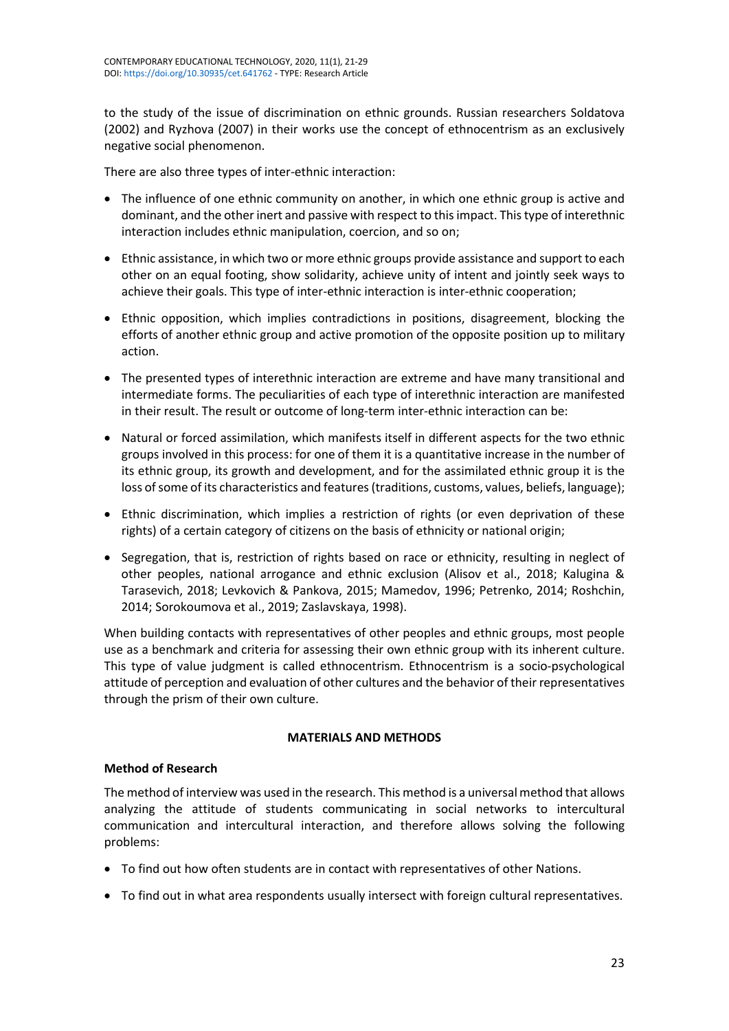to the study of the issue of discrimination on ethnic grounds. Russian researchers Soldatova (2002) and Ryzhova (2007) in their works use the concept of ethnocentrism as an exclusively negative social phenomenon.

There are also three types of inter-ethnic interaction:

- The influence of one ethnic community on another, in which one ethnic group is active and dominant, and the other inert and passive with respect to this impact. This type of interethnic interaction includes ethnic manipulation, coercion, and so on;
- Ethnic assistance, in which two or more ethnic groups provide assistance and support to each other on an equal footing, show solidarity, achieve unity of intent and jointly seek ways to achieve their goals. This type of inter-ethnic interaction is inter-ethnic cooperation;
- Ethnic opposition, which implies contradictions in positions, disagreement, blocking the efforts of another ethnic group and active promotion of the opposite position up to military action.
- The presented types of interethnic interaction are extreme and have many transitional and intermediate forms. The peculiarities of each type of interethnic interaction are manifested in their result. The result or outcome of long-term inter-ethnic interaction can be:
- Natural or forced assimilation, which manifests itself in different aspects for the two ethnic groups involved in this process: for one of them it is a quantitative increase in the number of its ethnic group, its growth and development, and for the assimilated ethnic group it is the loss of some of its characteristics and features (traditions, customs, values, beliefs, language);
- Ethnic discrimination, which implies a restriction of rights (or even deprivation of these rights) of a certain category of citizens on the basis of ethnicity or national origin;
- Segregation, that is, restriction of rights based on race or ethnicity, resulting in neglect of other peoples, national arrogance and ethnic exclusion (Alisov et al., 2018; Kalugina & Tarasevich, 2018; Levkovich & Pankova, 2015; Mamedov, 1996; Petrenko, 2014; Roshchin, 2014; Sorokoumova et al., 2019; Zaslavskaya, 1998).

When building contacts with representatives of other peoples and ethnic groups, most people use as a benchmark and criteria for assessing their own ethnic group with its inherent culture. This type of value judgment is called ethnocentrism. Ethnocentrism is a socio-psychological attitude of perception and evaluation of other cultures and the behavior of their representatives through the prism of their own culture.

# **MATERIALS AND METHODS**

# **Method of Research**

The method of interview was used in the research. This method is a universal method that allows analyzing the attitude of students communicating in social networks to intercultural communication and intercultural interaction, and therefore allows solving the following problems:

- To find out how often students are in contact with representatives of other Nations.
- To find out in what area respondents usually intersect with foreign cultural representatives.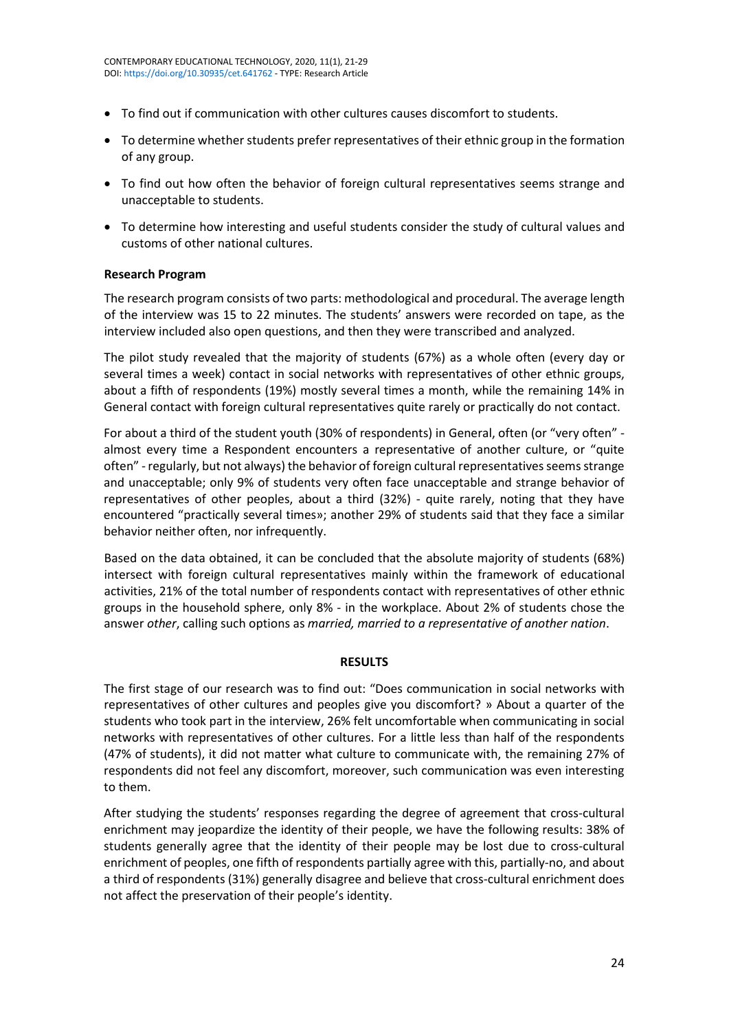- To find out if communication with other cultures causes discomfort to students.
- To determine whether students prefer representatives of their ethnic group in the formation of any group.
- To find out how often the behavior of foreign cultural representatives seems strange and unacceptable to students.
- To determine how interesting and useful students consider the study of cultural values and customs of other national cultures.

# **Research Program**

The research program consists of two parts: methodological and procedural. The average length of the interview was 15 to 22 minutes. The students' answers were recorded on tape, as the interview included also open questions, and then they were transcribed and analyzed.

The pilot study revealed that the majority of students (67%) as a whole often (every day or several times a week) contact in social networks with representatives of other ethnic groups, about a fifth of respondents (19%) mostly several times a month, while the remaining 14% in General contact with foreign cultural representatives quite rarely or practically do not contact.

For about a third of the student youth (30% of respondents) in General, often (or "very often" almost every time a Respondent encounters a representative of another culture, or "quite often" - regularly, but not always) the behavior of foreign cultural representatives seems strange and unacceptable; only 9% of students very often face unacceptable and strange behavior of representatives of other peoples, about a third (32%) - quite rarely, noting that they have encountered "practically several times»; another 29% of students said that they face a similar behavior neither often, nor infrequently.

Based on the data obtained, it can be concluded that the absolute majority of students (68%) intersect with foreign cultural representatives mainly within the framework of educational activities, 21% of the total number of respondents contact with representatives of other ethnic groups in the household sphere, only 8% - in the workplace. About 2% of students chose the answer *other*, calling such options as *married, married to a representative of another nation*.

# **RESULTS**

The first stage of our research was to find out: "Does communication in social networks with representatives of other cultures and peoples give you discomfort? » About a quarter of the students who took part in the interview, 26% felt uncomfortable when communicating in social networks with representatives of other cultures. For a little less than half of the respondents (47% of students), it did not matter what culture to communicate with, the remaining 27% of respondents did not feel any discomfort, moreover, such communication was even interesting to them.

After studying the students' responses regarding the degree of agreement that cross-cultural enrichment may jeopardize the identity of their people, we have the following results: 38% of students generally agree that the identity of their people may be lost due to cross-cultural enrichment of peoples, one fifth of respondents partially agree with this, partially-no, and about a third of respondents (31%) generally disagree and believe that cross-cultural enrichment does not affect the preservation of their people's identity.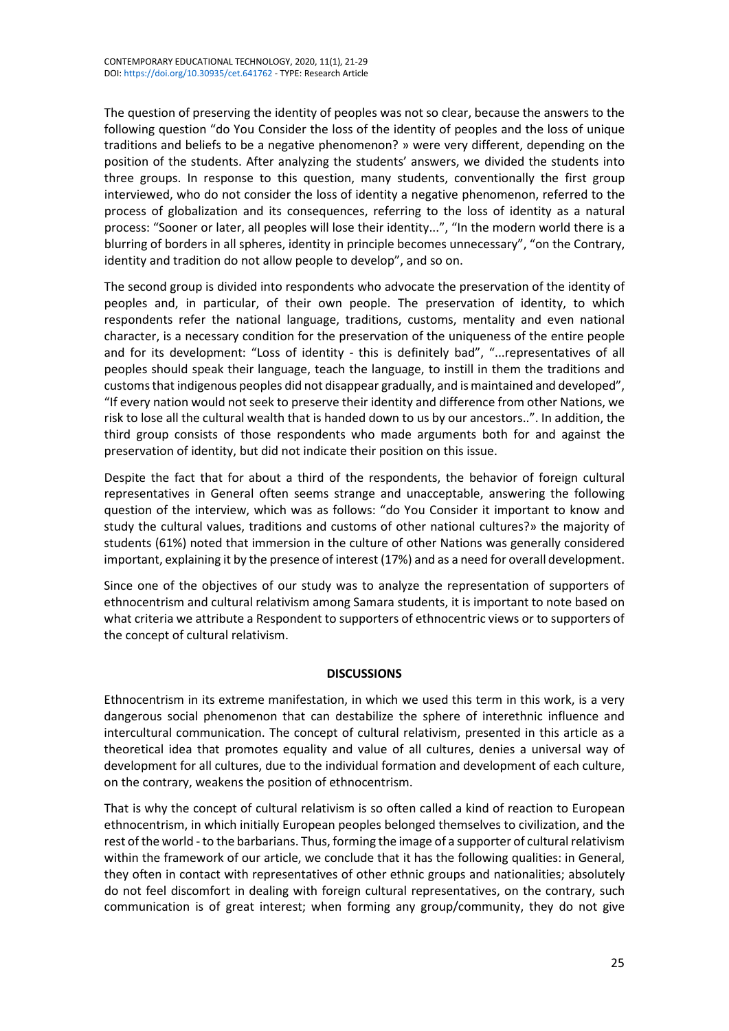The question of preserving the identity of peoples was not so clear, because the answers to the following question "do You Consider the loss of the identity of peoples and the loss of unique traditions and beliefs to be a negative phenomenon? » were very different, depending on the position of the students. After analyzing the students' answers, we divided the students into three groups. In response to this question, many students, conventionally the first group interviewed, who do not consider the loss of identity a negative phenomenon, referred to the process of globalization and its consequences, referring to the loss of identity as a natural process: "Sooner or later, all peoples will lose their identity...", "In the modern world there is a blurring of borders in all spheres, identity in principle becomes unnecessary", "on the Contrary, identity and tradition do not allow people to develop", and so on.

The second group is divided into respondents who advocate the preservation of the identity of peoples and, in particular, of their own people. The preservation of identity, to which respondents refer the national language, traditions, customs, mentality and even national character, is a necessary condition for the preservation of the uniqueness of the entire people and for its development: "Loss of identity - this is definitely bad", "...representatives of all peoples should speak their language, teach the language, to instill in them the traditions and customsthat indigenous peoples did not disappear gradually, and is maintained and developed", "If every nation would not seek to preserve their identity and difference from other Nations, we risk to lose all the cultural wealth that is handed down to us by our ancestors..". In addition, the third group consists of those respondents who made arguments both for and against the preservation of identity, but did not indicate their position on this issue.

Despite the fact that for about a third of the respondents, the behavior of foreign cultural representatives in General often seems strange and unacceptable, answering the following question of the interview, which was as follows: "do You Consider it important to know and study the cultural values, traditions and customs of other national cultures?» the majority of students (61%) noted that immersion in the culture of other Nations was generally considered important, explaining it by the presence of interest (17%) and as a need for overall development.

Since one of the objectives of our study was to analyze the representation of supporters of ethnocentrism and cultural relativism among Samara students, it is important to note based on what criteria we attribute a Respondent to supporters of ethnocentric views or to supporters of the concept of cultural relativism.

# **DISCUSSIONS**

Ethnocentrism in its extreme manifestation, in which we used this term in this work, is a very dangerous social phenomenon that can destabilize the sphere of interethnic influence and intercultural communication. The concept of cultural relativism, presented in this article as a theoretical idea that promotes equality and value of all cultures, denies a universal way of development for all cultures, due to the individual formation and development of each culture, on the contrary, weakens the position of ethnocentrism.

That is why the concept of cultural relativism is so often called a kind of reaction to European ethnocentrism, in which initially European peoples belonged themselves to civilization, and the rest of the world - to the barbarians. Thus, forming the image of a supporter of cultural relativism within the framework of our article, we conclude that it has the following qualities: in General, they often in contact with representatives of other ethnic groups and nationalities; absolutely do not feel discomfort in dealing with foreign cultural representatives, on the contrary, such communication is of great interest; when forming any group/community, they do not give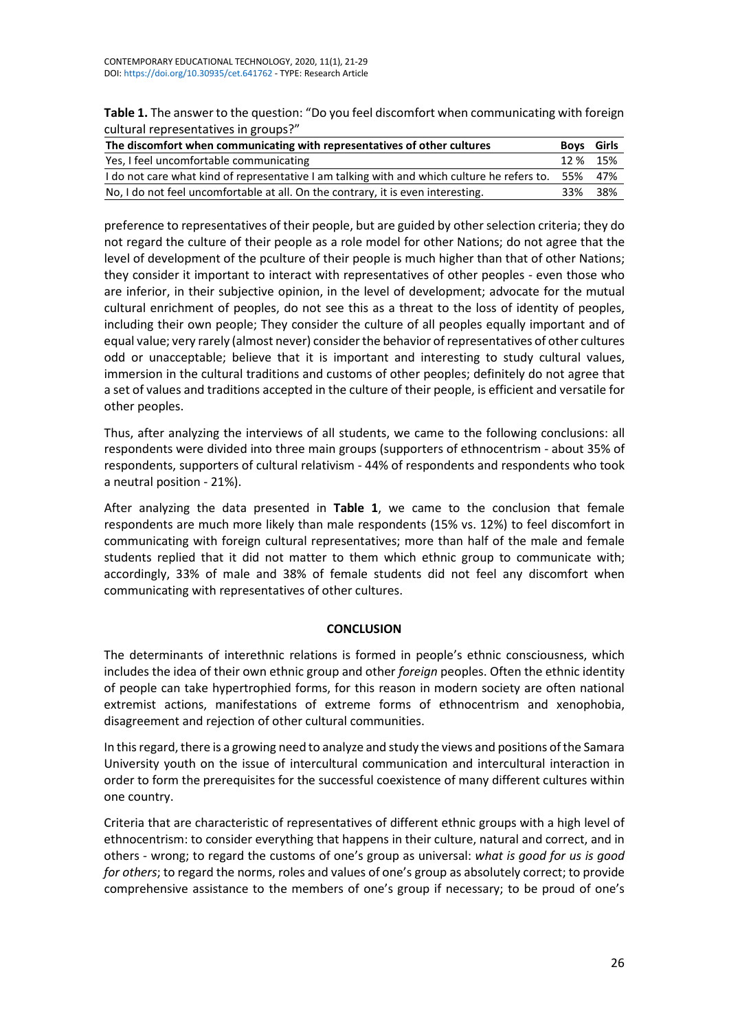**Table 1.** The answer to the question: "Do you feel discomfort when communicating with foreign cultural representatives in groups?"

| The discomfort when communicating with representatives of other cultures                            | <b>Boys</b> Girls |       |
|-----------------------------------------------------------------------------------------------------|-------------------|-------|
| Yes, I feel uncomfortable communicating                                                             | 12 % 15%          |       |
| I do not care what kind of representative I am talking with and which culture he refers to. 55% 47% |                   |       |
| No, I do not feel uncomfortable at all. On the contrary, it is even interesting.                    | 33%               | - 38% |

preference to representatives of their people, but are guided by other selection criteria; they do not regard the culture of their people as a role model for other Nations; do not agree that the level of development of the pculture of their people is much higher than that of other Nations; they consider it important to interact with representatives of other peoples - even those who are inferior, in their subjective opinion, in the level of development; advocate for the mutual cultural enrichment of peoples, do not see this as a threat to the loss of identity of peoples, including their own people; They consider the culture of all peoples equally important and of equal value; very rarely (almost never) consider the behavior of representatives of other cultures odd or unacceptable; believe that it is important and interesting to study cultural values, immersion in the cultural traditions and customs of other peoples; definitely do not agree that a set of values and traditions accepted in the culture of their people, is efficient and versatile for other peoples.

Thus, after analyzing the interviews of all students, we came to the following conclusions: all respondents were divided into three main groups (supporters of ethnocentrism - about 35% of respondents, supporters of cultural relativism - 44% of respondents and respondents who took a neutral position - 21%).

After analyzing the data presented in **Table 1**, we came to the conclusion that female respondents are much more likely than male respondents (15% vs. 12%) to feel discomfort in communicating with foreign cultural representatives; more than half of the male and female students replied that it did not matter to them which ethnic group to communicate with; accordingly, 33% of male and 38% of female students did not feel any discomfort when communicating with representatives of other cultures.

# **CONCLUSION**

The determinants of interethnic relations is formed in people's ethnic consciousness, which includes the idea of their own ethnic group and other *foreign* peoples. Often the ethnic identity of people can take hypertrophied forms, for this reason in modern society are often national extremist actions, manifestations of extreme forms of ethnocentrism and xenophobia, disagreement and rejection of other cultural communities.

In this regard, there is a growing need to analyze and study the views and positions of the Samara University youth on the issue of intercultural communication and intercultural interaction in order to form the prerequisites for the successful coexistence of many different cultures within one country.

Criteria that are characteristic of representatives of different ethnic groups with a high level of ethnocentrism: to consider everything that happens in their culture, natural and correct, and in others - wrong; to regard the customs of one's group as universal: *what is good for us is good for others*; to regard the norms, roles and values of one's group as absolutely correct; to provide comprehensive assistance to the members of one's group if necessary; to be proud of one's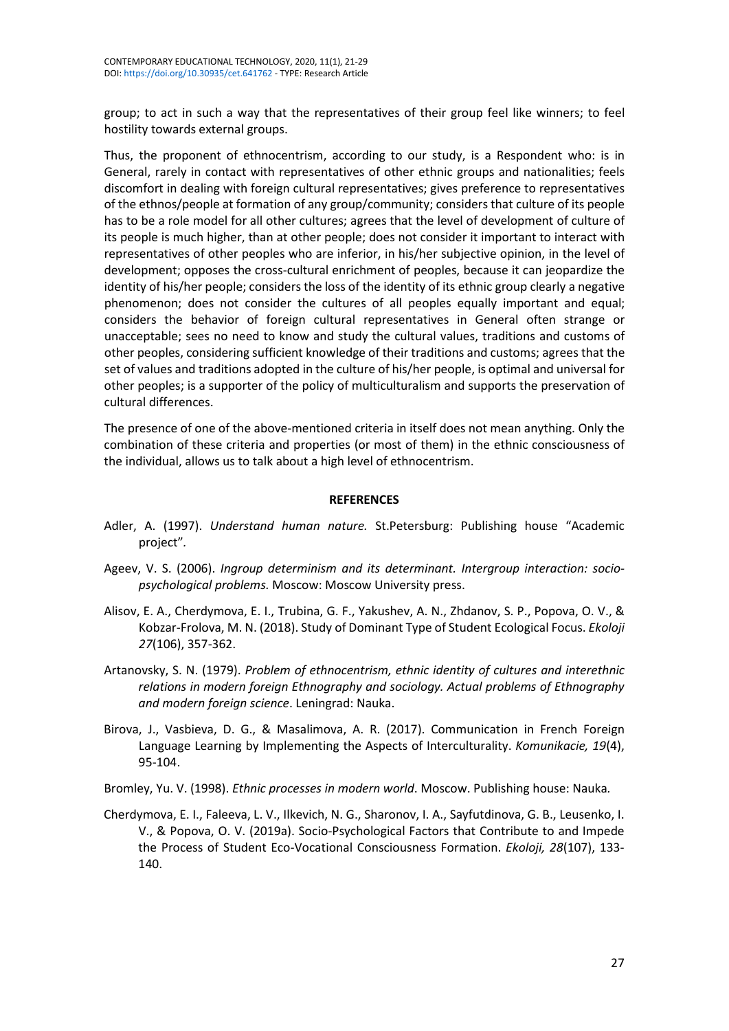group; to act in such a way that the representatives of their group feel like winners; to feel hostility towards external groups.

Thus, the proponent of ethnocentrism, according to our study, is a Respondent who: is in General, rarely in contact with representatives of other ethnic groups and nationalities; feels discomfort in dealing with foreign cultural representatives; gives preference to representatives of the ethnos/people at formation of any group/community; considers that culture of its people has to be a role model for all other cultures; agrees that the level of development of culture of its people is much higher, than at other people; does not consider it important to interact with representatives of other peoples who are inferior, in his/her subjective opinion, in the level of development; opposes the cross-cultural enrichment of peoples, because it can jeopardize the identity of his/her people; considers the loss of the identity of its ethnic group clearly a negative phenomenon; does not consider the cultures of all peoples equally important and equal; considers the behavior of foreign cultural representatives in General often strange or unacceptable; sees no need to know and study the cultural values, traditions and customs of other peoples, considering sufficient knowledge of their traditions and customs; agrees that the set of values and traditions adopted in the culture of his/her people, is optimal and universal for other peoples; is a supporter of the policy of multiculturalism and supports the preservation of cultural differences.

The presence of one of the above-mentioned criteria in itself does not mean anything. Only the combination of these criteria and properties (or most of them) in the ethnic consciousness of the individual, allows us to talk about a high level of ethnocentrism.

### **REFERENCES**

- Adler, A. (1997). *Understand human nature.* St.Petersburg: Publishing house "Academic project"*.*
- Ageev, V. S. (2006). *Ingroup determinism and its determinant. Intergroup interaction: sociopsychological problems.* Moscow: Moscow University press.
- Alisov, E. A., Cherdymova, E. I., Trubina, G. F., Yakushev, A. N., Zhdanov, S. P., Popova, O. V., & Kobzar-Frolova, M. N. (2018). Study of Dominant Type of Student Ecological Focus. *Ekoloji 27*(106), 357-362.
- Artanovsky, S. N. (1979). *Problem of ethnocentrism, ethnic identity of cultures and interethnic relations in modern foreign Ethnography and sociology. Actual problems of Ethnography and modern foreign science*. Leningrad: Nauka.
- Birova, J., Vasbieva, D. G., & Masalimova, A. R. (2017). Communication in French Foreign Language Learning by Implementing the Aspects of Interculturality. *Komunikacie, 19*(4), 95-104.
- Bromley, Yu. V. (1998). *Ethnic processes in modern world*. Moscow. Publishing house: Nauka*.*
- Cherdymova, E. I., Faleeva, L. V., Ilkevich, N. G., Sharonov, I. A., Sayfutdinova, G. B., Leusenko, I. V., & Popova, O. V. (2019a). Socio-Psychological Factors that Contribute to and Impede the Process of Student Eco-Vocational Consciousness Formation. *Ekoloji, 28*(107), 133- 140.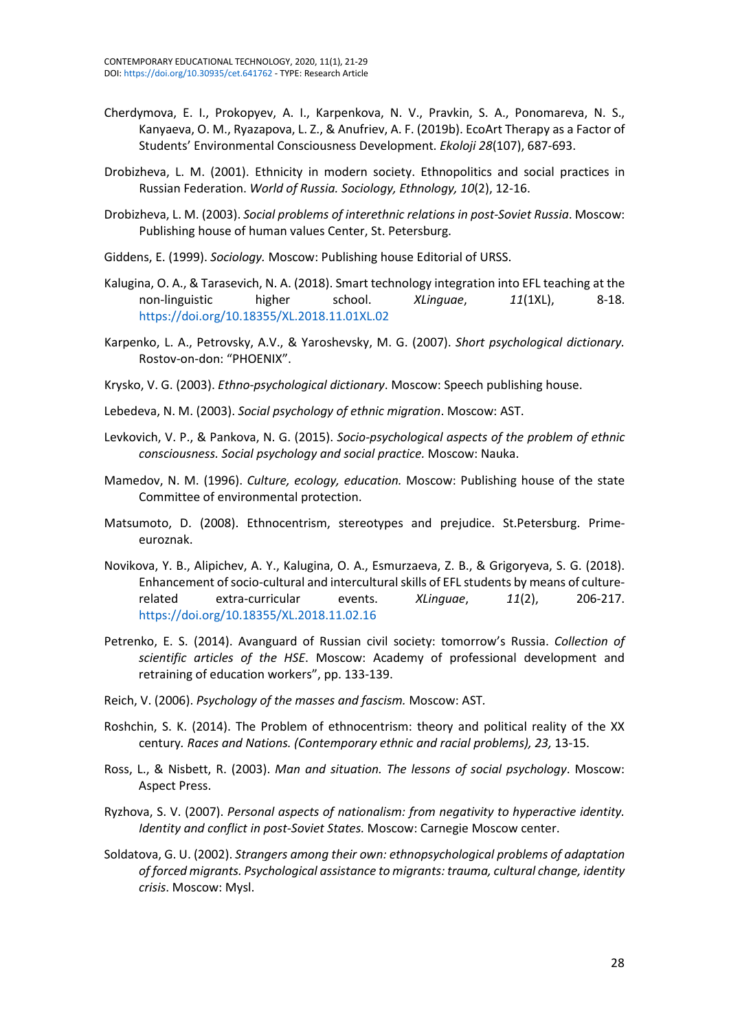- Cherdymova, E. I., Prokopyev, A. I., Karpenkova, N. V., Pravkin, S. A., Ponomareva, N. S., Kanyaeva, O. M., Ryazapova, L. Z., & Anufriev, A. F. (2019b). EcoArt Therapy as a Factor of Students' Environmental Consciousness Development. *Ekoloji 28*(107), 687-693.
- Drobizheva, L. M. (2001). Ethnicity in modern society. Ethnopolitics and social practices in Russian Federation. *World of Russia. Sociology, Ethnology, 10*(2), 12-16.
- Drobizheva, L. M. (2003). *Social problems of interethnic relations in post-Soviet Russia*. Moscow: Publishing house of human values Center, St. Petersburg.
- Giddens, E. (1999). *Sociology.* Moscow: Publishing house Editorial of URSS.
- Kalugina, O. A., & Tarasevich, N. A. (2018). Smart technology integration into EFL teaching at the non-linguistic higher school. *XLinguae*, *11*(1XL), 8-18. <https://doi.org/10.18355/XL.2018.11.01XL.02>
- Karpenko, L. A., Petrovsky, A.V., & Yaroshevsky, M. G. (2007). *Short psychological dictionary.* Rostov-on-don: "PHOENIX".
- Krysko, V. G. (2003). *Ethno-psychological dictionary*. Moscow: Speech publishing house.
- Lebedeva, N. M. (2003). *Social psychology of ethnic migration*. Moscow: AST.
- Levkovich, V. P., & Pankova, N. G. (2015). *Socio-psychological aspects of the problem of ethnic consciousness. Social psychology and social practice.* Moscow: Nauka.
- Mamedov, N. M. (1996). *Culture, ecology, education.* Moscow: Publishing house of the state Committee of environmental protection.
- Matsumoto, D. (2008). Ethnocentrism, stereotypes and prejudice. St.Petersburg. Primeeuroznak.
- Novikova, Y. B., Alipichev, A. Y., Kalugina, O. A., Esmurzaeva, Z. B., & Grigoryeva, S. G. (2018). Enhancement of socio-cultural and intercultural skills of EFL students by means of culturerelated extra-curricular events. *XLinguae*, *11*(2), 206-217. <https://doi.org/10.18355/XL.2018.11.02.16>
- Petrenko, E. S. (2014). Avanguard of Russian civil society: tomorrow's Russia. *Collection of scientific articles of the HSE*. Moscow: Academy of professional development and retraining of education workers", pp. 133-139.
- Reich, V. (2006). *Psychology of the masses and fascism.* Moscow: AST*.*
- Roshchin, S. K. (2014). The Problem of ethnocentrism: theory and political reality of the XX century*. Races and Nations. (Contemporary ethnic and racial problems), 23,* 13-15.
- Ross, L., & Nisbett, R. (2003). *Man and situation. The lessons of social psychology*. Moscow: Aspect Press.
- Ryzhova, S. V. (2007). *Personal aspects of nationalism: from negativity to hyperactive identity. Identity and conflict in post-Soviet States.* Moscow: Carnegie Moscow center.
- Soldatova, G. U. (2002). *Strangers among their own: ethnopsychological problems of adaptation of forced migrants. Psychological assistance to migrants: trauma, cultural change, identity crisis*. Moscow: Mysl.